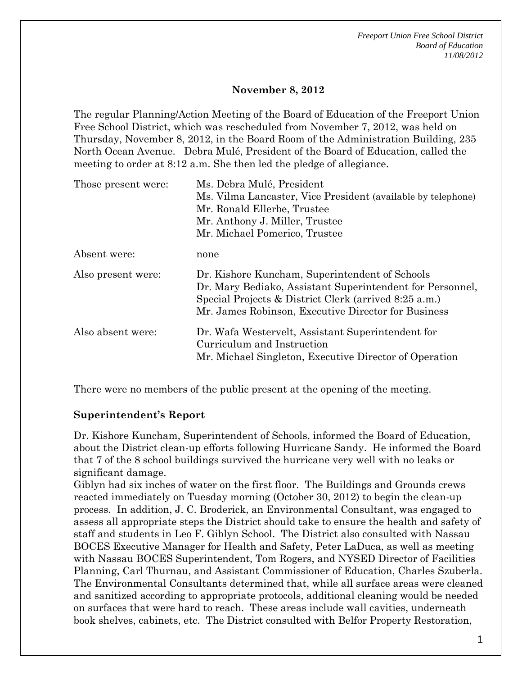*Freeport Union Free School District Board of Education 11/08/2012* 

### **November 8, 2012**

The regular Planning/Action Meeting of the Board of Education of the Freeport Union Free School District, which was rescheduled from November 7, 2012, was held on Thursday, November 8, 2012, in the Board Room of the Administration Building, 235 North Ocean Avenue. Debra Mulé, President of the Board of Education, called the meeting to order at 8:12 a.m. She then led the pledge of allegiance.

| Those present were: | Ms. Debra Mulé, President                                                                                                                                                                                                   |
|---------------------|-----------------------------------------------------------------------------------------------------------------------------------------------------------------------------------------------------------------------------|
|                     | Ms. Vilma Lancaster, Vice President (available by telephone)                                                                                                                                                                |
|                     | Mr. Ronald Ellerbe, Trustee                                                                                                                                                                                                 |
|                     | Mr. Anthony J. Miller, Trustee                                                                                                                                                                                              |
|                     | Mr. Michael Pomerico, Trustee                                                                                                                                                                                               |
| Absent were:        | none                                                                                                                                                                                                                        |
| Also present were:  | Dr. Kishore Kuncham, Superintendent of Schools<br>Dr. Mary Bediako, Assistant Superintendent for Personnel,<br>Special Projects & District Clerk (arrived 8:25 a.m.)<br>Mr. James Robinson, Executive Director for Business |
| Also absent were:   | Dr. Wafa Westervelt, Assistant Superintendent for<br>Curriculum and Instruction<br>Mr. Michael Singleton, Executive Director of Operation                                                                                   |

There were no members of the public present at the opening of the meeting.

#### **Superintendent's Report**

Dr. Kishore Kuncham, Superintendent of Schools, informed the Board of Education, about the District clean-up efforts following Hurricane Sandy. He informed the Board that 7 of the 8 school buildings survived the hurricane very well with no leaks or significant damage.

Giblyn had six inches of water on the first floor. The Buildings and Grounds crews reacted immediately on Tuesday morning (October 30, 2012) to begin the clean-up process. In addition, J. C. Broderick, an Environmental Consultant, was engaged to assess all appropriate steps the District should take to ensure the health and safety of staff and students in Leo F. Giblyn School. The District also consulted with Nassau BOCES Executive Manager for Health and Safety, Peter LaDuca, as well as meeting with Nassau BOCES Superintendent, Tom Rogers, and NYSED Director of Facilities Planning, Carl Thurnau, and Assistant Commissioner of Education, Charles Szuberla. The Environmental Consultants determined that, while all surface areas were cleaned and sanitized according to appropriate protocols, additional cleaning would be needed on surfaces that were hard to reach. These areas include wall cavities, underneath book shelves, cabinets, etc. The District consulted with Belfor Property Restoration,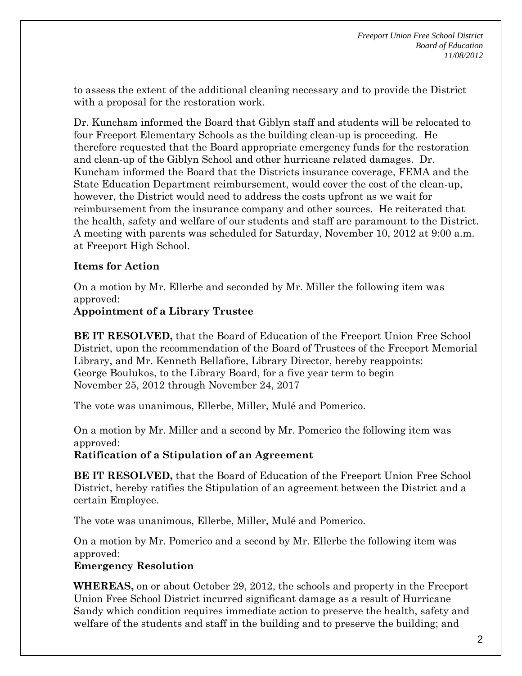to assess the extent of the additional cleaning necessary and to provide the District with a proposal for the restoration work.

Dr. Kuncham informed the Board that Giblyn staff and students will be relocated to four Freeport Elementary Schools as the building clean-up is proceeding. He therefore requested that the Board appropriate emergency funds for the restoration and clean-up of the Giblyn School and other hurricane related damages. Dr. Kuncham informed the Board that the Districts insurance coverage, FEMA and the State Education Department reimbursement, would cover the cost of the clean-up, however, the District would need to address the costs upfront as we wait for reimbursement from the insurance company and other sources. He reiterated that the health, safety and welfare of our students and staff are paramount to the District. A meeting with parents was scheduled for Saturday, November 10, 2012 at 9:00 a.m. at Freeport High School.

## **Items for Action**

On a motion by Mr. Ellerbe and seconded by Mr. Miller the following item was approved:

### **Appointment of a Library Trustee**

**BE IT RESOLVED,** that the Board of Education of the Freeport Union Free School District, upon the recommendation of the Board of Trustees of the Freeport Memorial Library, and Mr. Kenneth Bellafiore, Library Director, hereby reappoints: George Boulukos, to the Library Board, for a five year term to begin November 25, 2012 through November 24, 2017

The vote was unanimous, Ellerbe, Miller, Mulé and Pomerico.

On a motion by Mr. Miller and a second by Mr. Pomerico the following item was approved:

#### **Ratification of a Stipulation of an Agreement**

**BE IT RESOLVED,** that the Board of Education of the Freeport Union Free School District, hereby ratifies the Stipulation of an agreement between the District and a certain Employee.

The vote was unanimous, Ellerbe, Miller, Mulé and Pomerico.

On a motion by Mr. Pomerico and a second by Mr. Ellerbe the following item was approved:

#### **Emergency Resolution**

**WHEREAS,** on or about October 29, 2012, the schools and property in the Freeport Union Free School District incurred significant damage as a result of Hurricane Sandy which condition requires immediate action to preserve the health, safety and welfare of the students and staff in the building and to preserve the building; and